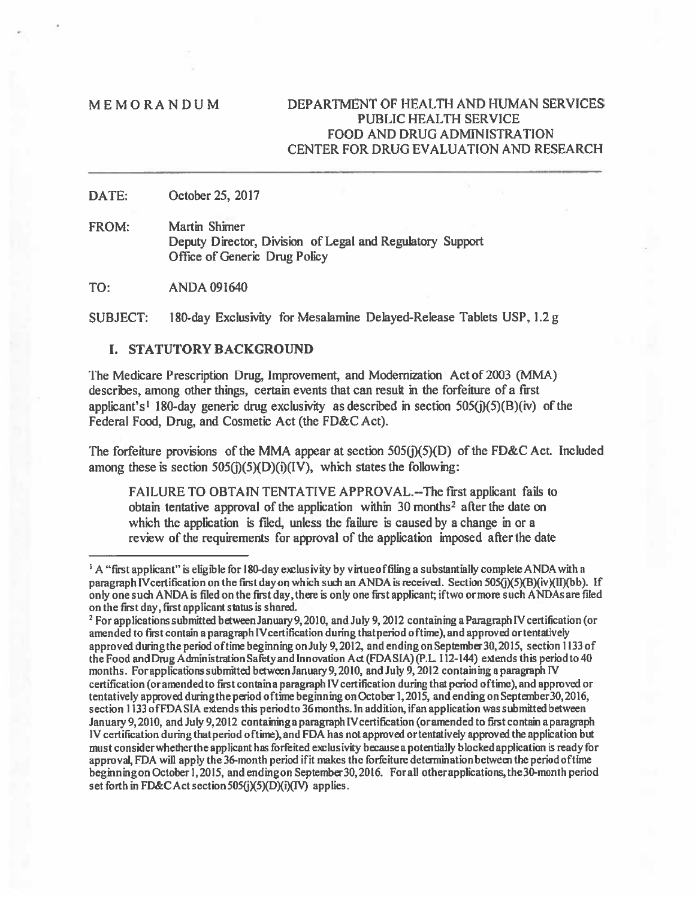# M E MO RAN D U M DEPARTMENT OF HEALTH AND HUMAN SERVICES PUBLIC HEALTH SERVICE FOOD AND DRUG ADMINISTRATION CENTER FOR DRUG EVALUATION AND RESEARCH

DATE: October 25, 2017

FROM: Martin Shimer Deputy Director, Division of Legal and Regulatory Support Office of Generic Drug Policy

TO: ANDA 091640

SUBJECT: 180-day Exclusivity for Mesalamine Delayed-Release Tablets USP, 1.2 g

# I. STATUTORY BACKGROUND

The Medicare Prescription Drug, Improvement, and Modernization Actof 2003 (MMA) describes, among other things, certain events that can result in the forfeiture of <sup>a</sup> first applicant's<sup>1</sup> 180-day generic drug exclusivity as described in section  $505(j)(5)(B)(iv)$  of the Federal Food, Drug, and Cosmetic Act (the FD&C Act).

The forfeiture provisions of the MMA appear at section  $505(j)(5)(D)$  of the FD&C Act. Included among these is section  $505(j)(5)(D)(i)(IV)$ , which states the following:

FAILURE TO OBTAIN TENTATIVE APPROVAL.-- The first applicant fails to obtain tentative approval of the application within  $30$  months<sup>2</sup> after the date on which the application is filed, unless the failure is caused by a change in or a review of the requirements for approval of the application imposed after the date

<sup>&</sup>lt;sup>1</sup> A "first applicant" is eligible for 180-day exclusivity by virtue of filing a substantially complete ANDA with a paragraph IV certification on the first day on which such an ANDA is received. Section 505(j)(5)(B)(iv)(II)(bb). If only one such ANDA is filed on the first day, there is only one first applicant; if two or more such ANDAs are filed on the first day, first applicant status is shared.

<sup>&</sup>lt;sup>2</sup> For applications submitted between January 9, 2010, and July 9, 2012 containing a Paragraph IV certification (or amended to first contain a paragraph IV certification during that period of time), and approved or tentatively approved duringthe period oftime beginning onJuly 9,2012, and ending onSeptember3o,2015, section 1133 of the Food and Drug Administration Safety and Innovation Act (FDASIA)(P.L. 112-144) extends this period to 40 months. For applications submitted between January 9, 2010, and July 9, 2012 containing a paragraph IV certification (or amended to first contain a paragraph IV certification during that period of time), and approved or tentatively approved dwingthe period oftime beginning onOctober 1,2015, and ending on September3o,2016, section 1133 of FDASIA extends this period to 36 months. In addition, if an application was submitted between January 9,2010, and July 9,2012 containinga paragraph IVcertiflcation (oramended to first contain <sup>a</sup> paragraph IV certification during thatperiod oftime), and FDA has not approved ortentatively approved the application but must consider whether the applicant has forfeited exclusivity because a potentially blocked application is ready for approval, FDA will apply the 36-month period ifit makes the forièiture determinationbetween the periodoftime beginning on October 1, 2015, and ending on September 30, 2016. For all other applications, the 30-month period set forth in FD&C Act section 505(j)(5)(D)(i)(IV) applies.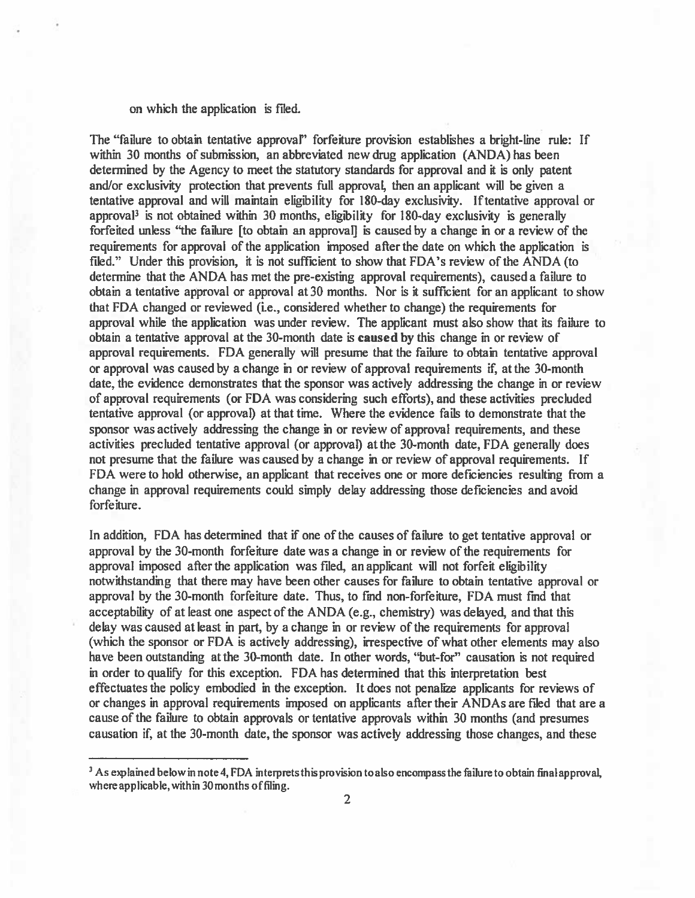### on which the application is filed.

The "failure to obtain tentative approval" forfeiture provision establishes <sup>a</sup> bright-line rule: If within 30 months of submission, an abbreviated new drug application (ANDA) has been determined by the Agency to meet the statutory standards for approval and it is only patent and/or exclusivity protection that prevents full approval, then an applicant will be given <sup>a</sup> tentative approval and will maintain eligibility for 180-day exclusivity. Iftentative approval or approval<sup>3</sup> is not obtained within 30 months, eligibility for 180-day exclusivity is generally forfeited unless "the failure [to obtain an approval] is caused by <sup>a</sup> change in or <sup>a</sup> review of the requirements for approval of the application imposed after the date on which the application is filed." Under this provision, it is not sufficient to show that FDA's review of the ANDA (to determine that the ANDA has met the pre-existing approval requirements), caused <sup>a</sup> failure to obtain <sup>a</sup> tentative approval or approval at 30 months. Nor is it sufficient for an applicant to show that FDA changed or reviewed (i.e., considered whether to change) the requirements for approval while the application was under review. The applicant must also show that its failure to obtain <sup>a</sup> tentative approval at the 30-month date is caused by this change in or review of approval requirements. FDA generally will presume that the failure to obtain tentative approval or approval was caused by <sup>a</sup> change in or review of approval requirements if, at the 30-month date, the evidence demonstrates that the sponsor was actively addressing the change in or review of approval requirements (or FDA was considering such efforts), and these activities precluded tentative approval (or approval) at that time. Where the evidence fails to demonstrate that the sponsor was actively addressing the change in or review of approval requirements, and these activities precluded tentative approval (or approval) at the 30-month date, FDA generally does not presume that the failure was caused by <sup>a</sup> change in or review of approval requirements. If FDA were to hold otherwise, an applicant that receives one or more deficiencies resulting from <sup>a</sup> change in approval requirements could simply delay addressing those deficiencies and avoid forfeiture.

In addition, FDA has determined that if one of the causes of failure to ge<sup>t</sup> tentative approval or approval by the 30-month forfeiture date was <sup>a</sup> change in or review of the requirements for approval imposed after the application was flied, an applicant will not forfeit eligibility notwithstanding that there may have been other causes for failure to obtain tentative approval or approval by the 30-month forfeiture date. Thus, to find non-forfeiture, FDA must find that acceptability of at least one aspec<sup>t</sup> of the ANDA (e.g., chemistry) was delayed, and that this delay was caused at least in part, by <sup>a</sup> change in or review of the requirements for approval (which the sponsor or FDA is actively addressing), irrespective of what other elements may also have been outstanding at the 30-month date. In other words, "but-for" causation is not required in order to qualify for this exception. FDA has determined that this interpretation best effectuates the policy embodied in the exception. It does not penalize applicants for reviews of or changes in approval requirements imposed on applicants after their ANDAs are flied that are <sup>a</sup> cause of the failure to obtain approvals or tentative approvals within 30 months (and presumes causation if, at the 30-month date, the sponsor was actively addressing those changes, and these

<sup>&</sup>lt;sup>3</sup> As explained below in note 4, FDA interprets this provision to also encompass the failure to obtain final approval, where applicable, within 30 months offiling.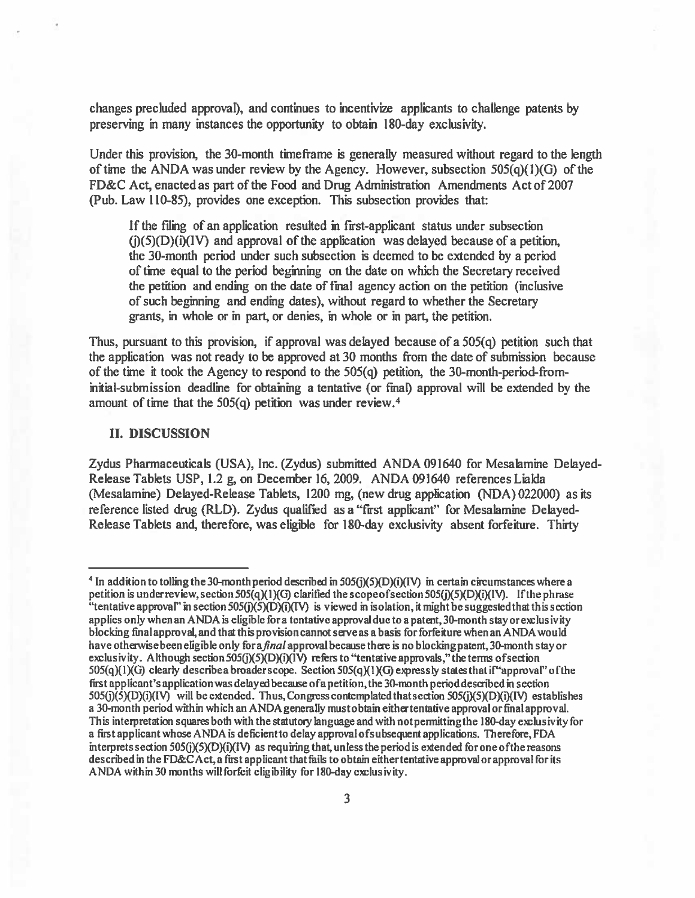changes precluded approval), and continues to incentivize applicants to challenge patents by preserving in many instances the opportunity to obtain 180-day exclusivity.

Under this provision, the 30-month time frame is generally measured without regard to the length of time the ANDA was under review by the Agency. However, subsection 505(q)(1)(G) of the FD&C Act, enacted as par<sup>t</sup> of the Food and Drug Administration Amendments Act of 2007 (Pub. Law 110-85), provides one exception. This subsection provides that:

If the filing of an application resulted in first-applicant status under subsection  $(i)(5)(D)(i)(IV)$  and approval of the application was delayed because of a petition, the 30-month period under such subsection is deemed to be extended by <sup>a</sup> period of time equal to the period beginning on the date on which the Secretary received the petition and ending on the date of final agency action on the petition (inclusive of such beginning and ending dates), without regard to whether the Secretary grants, in whole or in part, or denies, in whole or in part, the petition.

Thus, pursuant to this provision, if approval was delayed because of a  $505(q)$  petition such that the application was not ready to be approved at 30 months from the date of submission because of the time it took the Agency to respond to the 505(q) petition, the 30-month-period-frominitial-submission deadline for obtaining a tentative (or final) approval will be extended by the amount of time that the 505(a) petition was under review.4

### II. DISCUSSION

Zydus Pharmaceuticals (USA), Inc. (Zydus) submitted ANDA 091640 for Mesabmine Delayed-Release Tablets USP, 1.2 g, on December 16, 2009. ANDA 091640 references Lialda (Mesalamine) Delayed-Release Tablets, 1200 mg, (new drug application (NDA) 022000) as its reference listed drug (RLD). Zydus qualified as <sup>a</sup> "first applicant" for Mesalamine Delayed-Release Tablets and, therefore, was eligible for 180-day exclusivity absent forfeiture. Thirty

<sup>&</sup>lt;sup>4</sup> In addition to tolling the 30-month period described in  $505(j)(5)(D)(i)(IV)$  in certain circumstances where a petition is under review, section 505 $\left(\frac{q}{q}\right)$  clarified the scope of section 505 $\left(\frac{q}{q}\right)$ (5)(D) $\left(\frac{q}{q}\right)$ . If the phrase "tentative approval" in section  $505(j)(5)(D)(i)(IV)$  is viewed in isolation, it might be suggested that this section applies only whenan ANDA is eligible fora tentativeapprovaldueto <sup>a</sup> patent, 30-month stayorexclusivity blocking final approval, and that thisprovision cannot saveas <sup>a</sup> basis forforfeiture when an ANDA would have otherwise been eligible only for a *final* approval because there is no blocking patent, 30-month stay or exclusivity. Although section 505(j)(5)(D)(i)( $\overrightarrow{V}$ ) refers to "tentative approvals," the terms of section<br>505(q)(1)(G) clearly describe a broader scope. Section 505(q)(1)(G) expressly states that if "approval" of the first applicant's application was delayed because of a petition, the 30-month period described in section  $505(j)(5)(D)(i)(IV)$  will be extended. Thus, Congress contemplated that section  $505(j)(5)(D)(i)(IV)$  establishes <sup>a</sup> 30-month period within which an ANDAgenerally mustobtain eithertenthtive approval or final approval. This interpretation squares both with the statutory language and with notpermittingthe 180-day exclusivity for <sup>a</sup> first applicant whose ANDA is deflcientto delay approval ofsubsequent applications. Therefore, FDA interprets section 505 $(j(5)(D)(i)(N)$  as requiring that, unless the period is extended for one of the reasons described in the FD&C Act, a first applicant that fails to obtain either tentative approval or approval for its ANDA within 30 months will forfeit eligibility for 180-day exclusivity.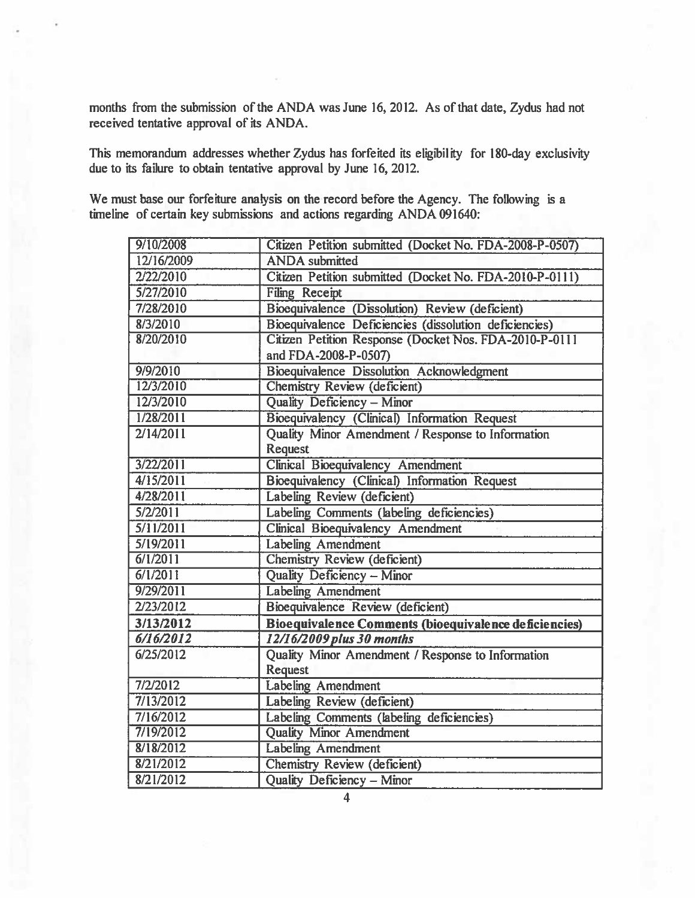months from the submission of the ANDA was June 16, 2012. As of that date, Zydus had not received tentative approval of its ANDA.

This memorandum addresses whether Zydus has forfeited its eligibility for 180-day exclusivity due to its failure to obtain tentative approval by June 16, 2012.

We must base our forfeiture analysis on the record before the Agency. The following is <sup>a</sup> timeline of certain key submissions and actions regarding ANDA 091640:

| 9/10/2008  | Citizen Petition submitted (Docket No. FDA-2008-P-0507) |
|------------|---------------------------------------------------------|
| 12/16/2009 | <b>ANDA</b> submitted                                   |
| 2/22/2010  | Citizen Petition submitted (Docket No. FDA-2010-P-0111) |
| 5/27/2010  | <b>Filing Receipt</b>                                   |
| 7/28/2010  | Bioequivalence (Dissolution) Review (deficient)         |
| 8/3/2010   | Bioequivalence Deficiencies (dissolution deficiencies)  |
| 8/20/2010  | Citizen Petition Response (Docket Nos. FDA-2010-P-0111  |
|            | and FDA-2008-P-0507)                                    |
| 9/9/2010   | <b>Bioequivalence Dissolution Acknowledgment</b>        |
| 12/3/2010  | Chemistry Review (deficient)                            |
| 12/3/2010  | Quality Deficiency - Minor                              |
| 1/28/2011  | Bioequivalency (Clinical) Information Request           |
| 2/14/2011  | Quality Minor Amendment / Response to Information       |
|            | Request                                                 |
| 3/22/2011  | <b>Clinical Bioequivalency Amendment</b>                |
| 4/15/2011  | Bioequivalency (Clinical) Information Request           |
| 4/28/2011  | Labeling Review (deficient)                             |
| 5/2/2011   | Labeling Comments (labeling deficiencies)               |
| 5/11/2011  | Clinical Bioequivalency Amendment                       |
| 5/19/2011  | Labeling Amendment                                      |
| 6/1/2011   | Chemistry Review (deficient)                            |
| 6/1/2011   | Quality Deficiency - Minor                              |
| 9/29/2011  | <b>Labeling Amendment</b>                               |
| 2/23/2012  | Bioequivalence Review (deficient)                       |
| 3/13/2012  | Bioequivalence Comments (bioequivalence deficiencies)   |
| 6/16/2012  | 12/16/2009 plus 30 months                               |
| 6/25/2012  | Quality Minor Amendment / Response to Information       |
|            | Request                                                 |
| 7/2/2012   | <b>Labeling Amendment</b>                               |
| 7/13/2012  | Labeling Review (deficient)                             |
| 7/16/2012  | Labeling Comments (labeling deficiencies)               |
| 7/19/2012  | <b>Quality Minor Amendment</b>                          |
| 8/18/2012  | <b>Labeling Amendment</b>                               |
| 8/21/2012  | Chemistry Review (deficient)                            |
| 8/21/2012  | Quality Deficiency - Minor                              |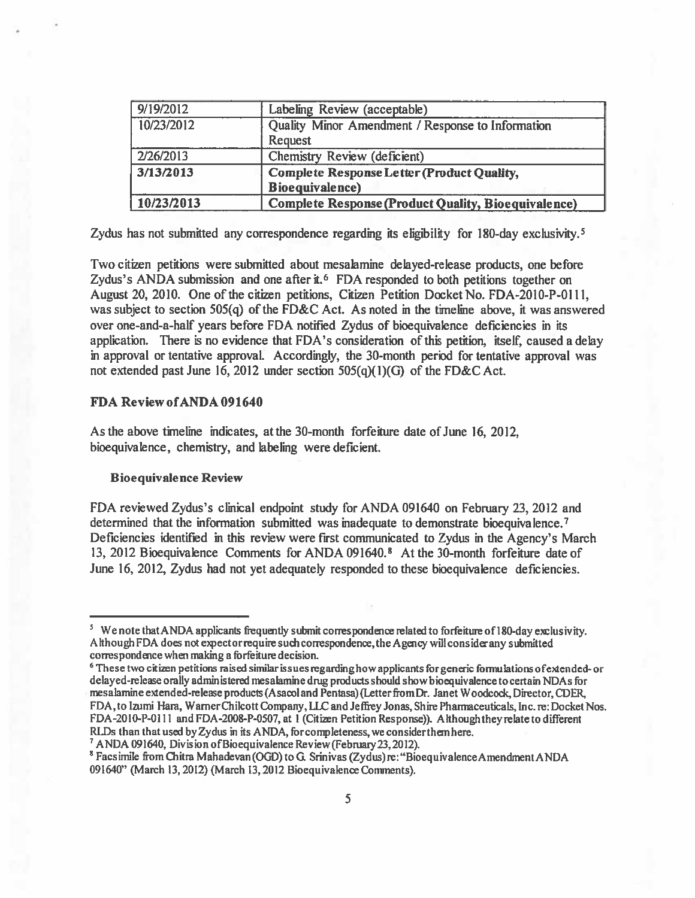| 9/19/2012  | Labeling Review (acceptable)                               |
|------------|------------------------------------------------------------|
| 10/23/2012 | Quality Minor Amendment / Response to Information          |
|            | <b>Request</b>                                             |
| 2/26/2013  | Chemistry Review (deficient)                               |
| 3/13/2013  | <b>Complete Response Letter (Product Quality,</b>          |
|            | <b>Bioequivalence</b> )                                    |
| 10/23/2013 | <b>Complete Response (Product Quality, Bioequivalence)</b> |

Zydus has not submitted any correspondence regarding its eligibility for 180-day exclusivity.<sup>5</sup>

Two citizen petitions were submitted about mesabmine delayed-release products, one before Zydus's ANDA submission and one after it.<sup>6</sup> FDA responded to both petitions together on August 20, 2010. One of the citizen petitions, Citizen Petition Docket No. FDA-2010-P-0111, was subject to section 505(q) of the FD&C Act. As noted in the timeline above, it was answered over one-and-a-half years before FDA notified Zydus of bioequivalence deficiencies in its application. There is no evidence that FDA's consideration of this petition, itself, caused <sup>a</sup> delay in approval or tentative approval. Accordingly, the 30-month period for tentative approval was not extended pas<sup>t</sup> June 16, 2012 under section 505(q)(1)(G) of the FD&C Act.

# FDA Review ofANDA 091640

As the above timeline indicates, at the 30-month for feiture date of June 16, 2012, bioequivalence, chemistry, and labeling were deficient.

### B iocquivale nce Review

FDA reviewed Zydus's clinical endpoint study for ANDA 091640 on February 23, 2012 and determined that the information submitted was inadequate to demonstrate bioequivalence.<sup>7</sup> Deficiencies identified in this review were first communicated to Zydus in the Agency's March 13, <sup>2012</sup> Bioequivaience Comments for ANDA 091640.8 At the 30-month forfeiture date of June 16, 2012, Zydus had not yet adequately responded to these bioequivalence deficiencies.

<sup>&</sup>lt;sup>5</sup> We note that ANDA applicants frequently submit correspondence related to forfeiture of 180-day exclusivity. A though FDA does not expect or require such correspondence, the Agency will consider any submitted correspondence when making a forfeiture decision.

<sup>&</sup>lt;sup>6</sup> These two citizen petitions raised similar issues regarding how applicants for generic formulations of extended- or delayed-release orally administered mesalamine drug products should show bioequivalence to certain NDAs for mesalamine extended-release products (Asacol and Pentasa) (Letter from Dr. Janet Woodcock, Director, CDER, FDA, to Izumi Hara, Warner Chilcott Company, LLC and Jeffrey Jonas, Shire Pharmaceuticals, Inc. re: Docket Nos. FDA-20 lO-P-0 Ill and FDA-2008-P-0507, at <sup>I</sup> (Citizen Petition Response)). Afthough they relate to different RLDs than that used by Zydus in its ANDA, for completeness, we consider them here.

<sup>&</sup>lt;sup>7</sup> ANDA 091640, Division of Bioequivalence Review (February 23, 2012).

<sup>&</sup>lt;sup>8</sup> Facsimile from Chitra Mahadevan (OGD) to G. Srinivas (Zydus)re: "BioequivalenceAmendmentANDA 091640" (March 13, 2012) (March 13, 2012 Bioequivalence Comments).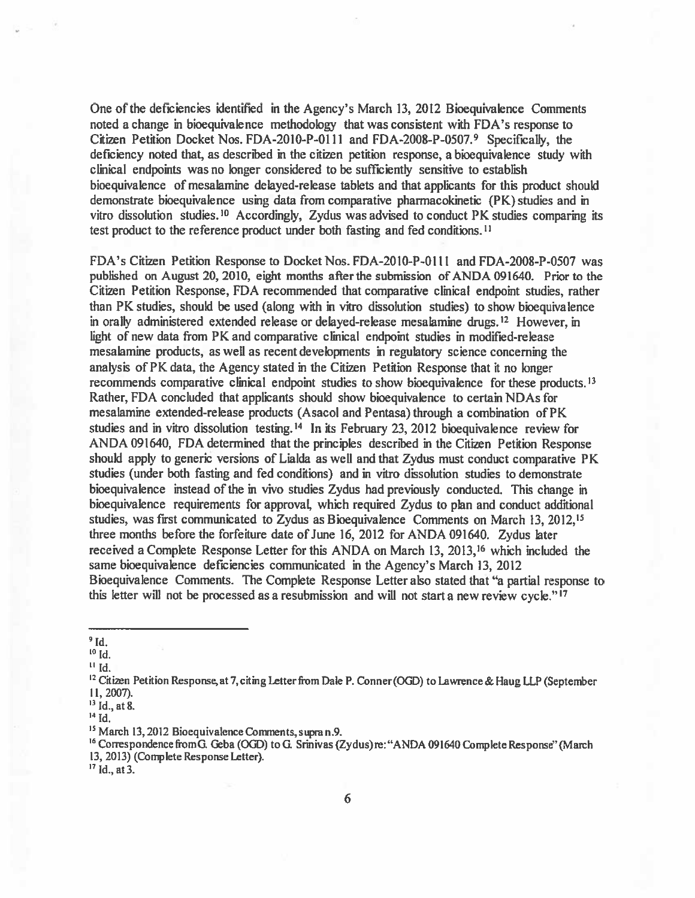One of the deficiencies identified in the Agency's March 13, 2012 Bioequivalence Comments noted <sup>a</sup> change in bioequivaience methodology that was consistent with FDA's response to Citizen Petition Docket Nos. FDA-2010-P-0l 11 and FDA-2008-P-0507.9 Specifically, the deficiency noted that, as described in the citizen petition response, <sup>a</sup> bioequivalence study with clinical endpoints was no longer considered to be sufficiently sensitive to establish bioequivalence of mesabmine delayed-release tablets and that applicants for this product should demonstrate bloequivalence using data from comparative pharmacokinetic (PK) studies and in vitro dissolution studies.<sup>10</sup> Accordingly, Zydus was advised to conduct PK studies comparing its test product to the reference product under both fasting and fed conditions.11

FDA's Citizen Petition Response to Docket Nos. FDA-2010-P-01 11 and FDA-2008-P-0507 was published on August 20, 2010, eight months afterthe submission of ANDA 091640. Prior to the Citizen Petition Response, FDA recommended that comparative clinical endpoint studies, rather than PK studies, should be used (along with in vitro dissolution studies) to show bioequivalenee in orally administered extended release or delayed-release mesalamine drugs.<sup>12</sup> However, in light of new data from PK and comparative clinical endpoint studies in modified-release mesalamine products, as well as recent developments in regulatory science concerning the analysis of PK data, the Agency stated in the Citizen Petition Response that it no longer recommends comparative clinical endpoint studies to show bioequivalence for these products.<sup>13</sup> Rather, FDA concluded that applicants should show bioequivalence to certain NDAs for mesalamine extended-release products (Asacol and Pentasa) through <sup>a</sup> combination of PK studies and in vitro dissolution testing.'4 In its February 23, 2012 bioequivalence review for ANDA 091640, FDA determined that the principles described in the Citizen Petition Response should apply to generic versions of Lialda as well and that Zydus must conduct comparative PK studies (under both fasting and fed conditions) and in vitro dissolution studies to demonstrate bioequivalence instead of the in vivo studies Zydus had previously conducted. This change in bioequivalence requirements for approval, which required Zydus to plan and conduct additional studies, was first communicated to Zydus as Bioequivalence Comments on March 13, 2012,15 three months before the forfeiture date of June 16, 2012 for ANDA 091640. Zydus later received <sup>a</sup> Complete Response Letter for this ANDA on March 13, 2013,16 which included the same bioequivalence deficiencies communicated in the Agency's March 13, 2012 Bloequivalence Comments. The Complete Response Letter also stated that "a partial response to this letter will not be processed as a resubmission and will not start a new review cycle."<sup>17</sup>

 $\mathbf{H}$  Id.

 $^{17}$  Id., at 3.

 $9$ Id.

 $^{\rm o}$  Id.

<sup>&</sup>lt;sup>12</sup> Citizen Petition Response, at 7, citing Letter from Dale P. Conner (OGD) to Lawrence & Haug LLP (September 11,2007).

 $^{13}$  Id., at 8.

 $^4$  Id.

<sup>&</sup>lt;sup>15</sup> March 13, 2012 Bioequivalence Comments, supra n.9.

<sup>&</sup>lt;sup>16</sup> Correspondence from G. Geba (OGD) to G. Srinivas (Zydus) re: "ANDA 091640 Complete Response" (March 13, 2013) (Complete Response Letter).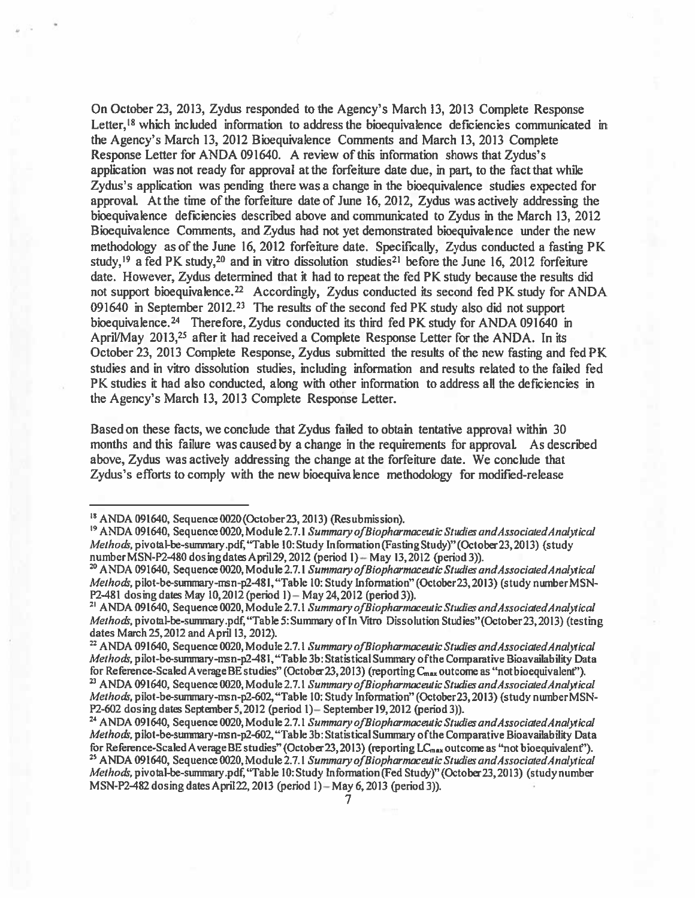On October 23, 2013, Zydus responded to the Agency's March 13, 2013 Complete Response Letter,<sup>18</sup> which included information to address the bioequivalence deficiencies communicated in the Agency's March 13, 2012 Bioequivalence Comments and March 13, 2013 Complete Response Letter for ANDA 091640. A review of this information shows that Zydus's application was not ready for approval at the forfeiture date due, in part, to the fact that while Zydus's application was pending there was <sup>a</sup> change in the bioequivalence studies expected for approval. At the time of the forfeiture date of June 16, 2012, Zydus was actively addressing the bioequivalence deficiencies described above and communicated to Zydus in the March 13, 2012 Bioequivalence Comments, and Zydus had not ye<sup>t</sup> demonstrated bioequivalence under the new methodology as of the June 16, 2012 forfeiture date. Specifically, Zydus conducted <sup>a</sup> fasting PK study,<sup>19</sup> a fed PK study,<sup>20</sup> and in vitro dissolution studies<sup>21</sup> before the June 16, 2012 forfeiture date. However, Zydus determined that it had to repeat the fed PK study because the results did not support bioequivalence.<sup>22</sup> Accordingly, Zydus conducted its second fed PK study for ANDA 091640 in September 2012.<sup>23</sup> The results of the second fed PK study also did not support bioequivalence.<sup>24</sup> Therefore, Zydus conducted its third fed PK study for ANDA 091640 in April/May 2013,<sup>25</sup> after it had received a Complete Response Letter for the ANDA. In its October 23, 2013 Complete Response, Zydus submitted the results of the new fasting and fed PK studies and in vitro dissolution studies, including information and results related to the failed fed PK studies it had also conducted, along with other information to address all the deficiencies in the Agency's March 13, 2013 Complete Response Letter.

Based on these facts, we conclude that Zydus failed to obtain tentative approval within 30 months and this failure was caused by <sup>a</sup> change in the requirements for approval. As described above, Zydus was actively addressing the change at the forfeiture date. We conclude that Zydus's efforts to comply with the new bioequivalence methodology for modified-release

 $R<sup>18</sup>$  ANDA 091640, Sequence 0020 (October 23, 2013) (Resubmission).

<sup>&</sup>lt;sup>19</sup> ANDA 091640, Sequence 0020, Module 2.7.1 Summary of Biopharmaceutic Studies and Associated Analytical Methods, pivotal-be-summary.pdf, "Table 10: Study Information (Fasting Study)" (October 23, 2013) (study number MSN-P2-480 dosing dates April 29, 2012 (period 1) - May 13, 2012 (period 3)).

<sup>&</sup>lt;sup>20</sup> ANDA 091640, Sequence 0020, Module 2.7.1 Summary of Biopharmaceutic Studies and Associated Analytical Methods, pilot-be-summary-msn-p2-481, "Table 10: Study Information" (October 23, 2013) (study number MSN-P2-481 dosing dates May 10, 2012 (period 1) – May 24, 2012 (period 3)).

<sup>&</sup>lt;sup>21</sup> ANDA 091640, Sequence 0020, Module 2.7.1 Summary of Biopharmaceutic Studies and Associated Analytical Methods, pivotal-be-summary.pdf, "Table 5: Summary of In Vitro Dissolution Studies" (October 23, 2013) (testing dates March 25, 2012 and April 13, 2012).

<sup>&</sup>lt;sup>22</sup> ANDA 091640, Sequence 0020, Module 2.7.1 Summary of Biopharmaceutic Studies and Associated Analytical Methods, pilot-be-summary-msn-p2–481, "Table 3b: Statistical Summary of the Comparative Bioavailability Data for Reference-Scaled A verage BE studies" (October 23, 2013) (reporting C $_{\rm max}$  outcome as "notbioequivalent"). <sup>23</sup> ANDA 091640, Sequence 0020, Module 2.7.1 Summary of Biopharmaceutic Studies and Associated Analytical

Methods, pilot-be-summary-msn-p2-602, "Table 10: Study Information" (October 23, 2013) (study number MSN-P2-602 dosing dates September 5, 2012 (period 1) – September 19, 2012 (period 3)).

<sup>&</sup>lt;sup>24</sup> ANDA 091640, Sequence 0020, Module 2.7.1 Summary of Biopharmaceutic Studies and Associated Analytical Methods, pilot-be-summary-msn-p2-602, "Table 3b: Statistical Summary of the Comparative Bioavailability Data for Reference-Scaled Average BE studies" (October 23, 2013) (reporting LC<sub>max</sub> outcome as "not bioequivalent"). <sup>25</sup> ANDA 091640, Sequence 0020, Module 2.7.1 Summary of Biopharmaceutic Studies and Associated Analytical Methods, pivotal-be-summary.pdf, "Table 10: Study Information (Fed Study)" (October 23, 2013) (study number MSN-p24g2 dosing dates April22, 2013 (period I) — May 6,2013 (period 3)).